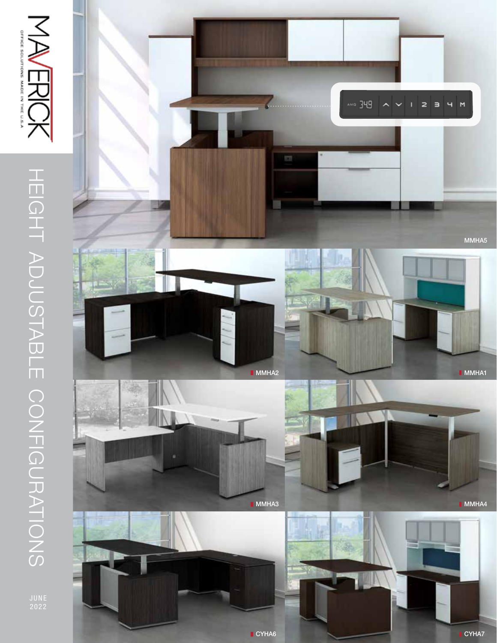